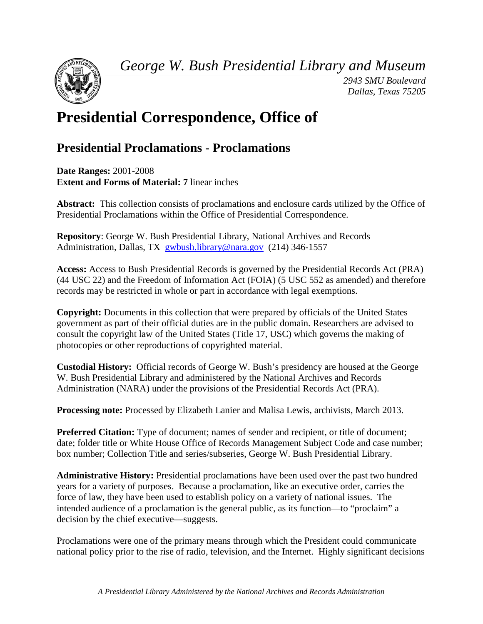*George W. Bush Presidential Library and Museum* 



*2943 SMU Boulevard Dallas, Texas 75205* 

# **Presidential Correspondence, Office of**

## **Presidential Proclamations - Proclamations**

 **Date Ranges:** 2001-2008  **Extent and Forms of Material: 7** linear inches

 **Abstract:** This collection consists of proclamations and enclosure cards utilized by the Office of Presidential Proclamations within the Office of Presidential Correspondence.

 **Repository**: George W. Bush Presidential Library, National Archives and Records Administration, Dallas, TX [gwbush.library@nara.gov](mailto:gwbush.library@nara.gov) (214) 346-1557

 **Access:** Access to Bush Presidential Records is governed by the Presidential Records Act (PRA) (44 USC 22) and the Freedom of Information Act (FOIA) (5 USC 552 as amended) and therefore records may be restricted in whole or part in accordance with legal exemptions.

**Copyright:** Documents in this collection that were prepared by officials of the United States government as part of their official duties are in the public domain. Researchers are advised to consult the copyright law of the United States (Title 17, USC) which governs the making of photocopies or other reproductions of copyrighted material.

 **Custodial History:** Official records of George W. Bush's presidency are housed at the George Administration (NARA) under the provisions of the Presidential Records Act (PRA). W. Bush Presidential Library and administered by the National Archives and Records

**Processing note:** Processed by Elizabeth Lanier and Malisa Lewis, archivists, March 2013.

**Preferred Citation:** Type of document; names of sender and recipient, or title of document; date; folder title or White House Office of Records Management Subject Code and case number; box number; Collection Title and series/subseries, George W. Bush Presidential Library.

**Administrative History:** Presidential proclamations have been used over the past two hundred years for a variety of purposes. Because a proclamation, like an executive order, carries the force of law, they have been used to establish policy on a variety of national issues. The intended audience of a proclamation is the general public, as its function—to "proclaim" a decision by the chief executive—suggests.

Proclamations were one of the primary means through which the President could communicate national policy prior to the rise of radio, television, and the Internet. Highly significant decisions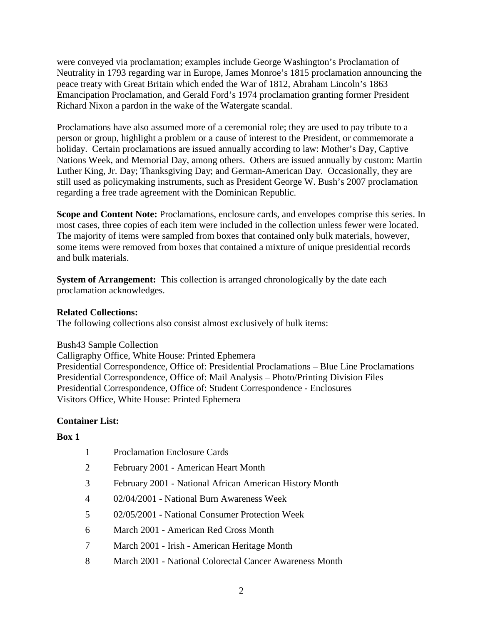were conveyed via proclamation; examples include George Washington's Proclamation of Neutrality in 1793 regarding war in Europe, James Monroe's 1815 proclamation announcing the peace treaty with Great Britain which ended the War of 1812, Abraham Lincoln's 1863 Emancipation Proclamation, and Gerald Ford's 1974 proclamation granting former President Richard Nixon a pardon in the wake of the Watergate scandal.

 person or group, highlight a problem or a cause of interest to the President, or commemorate a Luther King, Jr. Day; Thanksgiving Day; and German-American Day. Occasionally, they are Proclamations have also assumed more of a ceremonial role; they are used to pay tribute to a holiday. Certain proclamations are issued annually according to law: Mother's Day, Captive Nations Week, and Memorial Day, among others. Others are issued annually by custom: Martin still used as policymaking instruments, such as President George W. Bush's 2007 proclamation regarding a free trade agreement with the Dominican Republic.

Scope and Content Note: Proclamations, enclosure cards, and envelopes comprise this series. In most cases, three copies of each item were included in the collection unless fewer were located. The majority of items were sampled from boxes that contained only bulk materials, however, some items were removed from boxes that contained a mixture of unique presidential records and bulk materials.

 **System of Arrangement:** This collection is arranged chronologically by the date each proclamation acknowledges.

### **Related Collections:**

The following collections also consist almost exclusively of bulk items:

Bush43 Sample Collection

 Presidential Correspondence, Office of: Presidential Proclamations – Blue Line Proclamations Presidential Correspondence, Office of: Mail Analysis – Photo/Printing Division Files Presidential Correspondence, Office of: Student Correspondence - Enclosures Calligraphy Office, White House: Printed Ephemera Visitors Office, White House: Printed Ephemera

### **Container List:**

### **Box 1**

- 1 Proclamation Enclosure Cards
- 2 February 2001 American Heart Month
- 3 February 2001 National African American History Month
- 4 02/04/2001 National Burn Awareness Week
- 5 02/05/2001 National Consumer Protection Week
- 6 March 2001 American Red Cross Month
- 7 March 2001 Irish American Heritage Month
- 8 March 2001 National Colorectal Cancer Awareness Month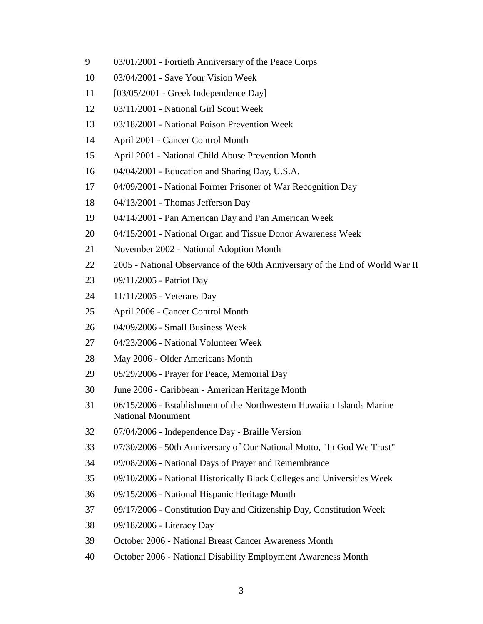- 9 03/01/2001 Fortieth Anniversary of the Peace Corps
- 10 03/04/2001 - Save Your Vision Week
- 11 [03/05/2001 Greek Independence Day]
- 12 03/11/2001 National Girl Scout Week
- 13 03/18/2001 National Poison Prevention Week
- 14 April 2001 Cancer Control Month
- 15 April 2001 - National Child Abuse Prevention Month
- 16 04/04/2001 Education and Sharing Day, U.S.A.
- 17 04/09/2001 National Former Prisoner of War Recognition Day
- 18 04/13/2001 Thomas Jefferson Day
- 19 04/14/2001 Pan American Day and Pan American Week
- 20 04/15/2001 - National Organ and Tissue Donor Awareness Week
- 21 November 2002 National Adoption Month
- 22 2005 National Observance of the 60th Anniversary of the End of World War II
- 23 09/11/2005 Patriot Day
- 24 11/11/2005 Veterans Day
- 25 April 2006 - Cancer Control Month
- 26 04/09/2006 Small Business Week
- 27 04/23/2006 National Volunteer Week
- 28 May 2006 Older Americans Month
- 29 05/29/2006 Prayer for Peace, Memorial Day
- 30 June 2006 - Caribbean - American Heritage Month
- 31 06/15/2006 Establishment of the Northwestern Hawaiian Islands Marine National Monument
- 32 07/04/2006 Independence Day Braille Version
- 33 07/30/2006 50th Anniversary of Our National Motto, "In God We Trust"
- 34 09/08/2006 National Days of Prayer and Remembrance
- 35 09/10/2006 - National Historically Black Colleges and Universities Week
- 36 09/15/2006 National Hispanic Heritage Month
- 37 09/17/2006 Constitution Day and Citizenship Day, Constitution Week
- 38 09/18/2006 Literacy Day
- 39 October 2006 National Breast Cancer Awareness Month
- 40 October 2006 - National Disability Employment Awareness Month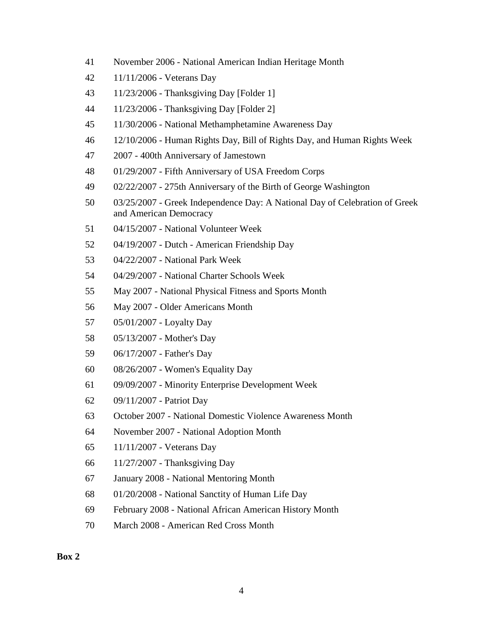- 41 November 2006 National American Indian Heritage Month
- 42 11/11/2006 Veterans Day
- 43 11/23/2006 Thanksgiving Day [Folder 1]
- 44 11/23/2006 Thanksgiving Day [Folder 2]
- 45 11/30/2006 - National Methamphetamine Awareness Day
- 46 12/10/2006 Human Rights Day, Bill of Rights Day, and Human Rights Week
- 47 2007 400th Anniversary of Jamestown
- 48 01/29/2007 Fifth Anniversary of USA Freedom Corps
- 49 02/22/2007 275th Anniversary of the Birth of George Washington
- 50 03/25/2007 - Greek Independence Day: A National Day of Celebration of Greek and American Democracy
- 51 04/15/2007 National Volunteer Week
- 52 04/19/2007 Dutch American Friendship Day
- 53 04/22/2007 National Park Week
- 54 04/29/2007 National Charter Schools Week
- 55 May 2007 - National Physical Fitness and Sports Month
- 56 May 2007 Older Americans Month
- 57 05/01/2007 Loyalty Day
- 58 05/13/2007 Mother's Day
- 59 06/17/2007 Father's Day
- 60 08/26/2007 - Women's Equality Day
- 61 09/09/2007 Minority Enterprise Development Week
- 62 09/11/2007 Patriot Day
- 63 October 2007 National Domestic Violence Awareness Month
- 64 November 2007 National Adoption Month
- 65 11/11/2007 - Veterans Day
- 66 11/27/2007 Thanksgiving Day
- 67 January 2008 National Mentoring Month
- 68 01/20/2008 National Sanctity of Human Life Day
- 69 February 2008 National African American History Month
- 70 March 2008 - American Red Cross Month

**Box 2**